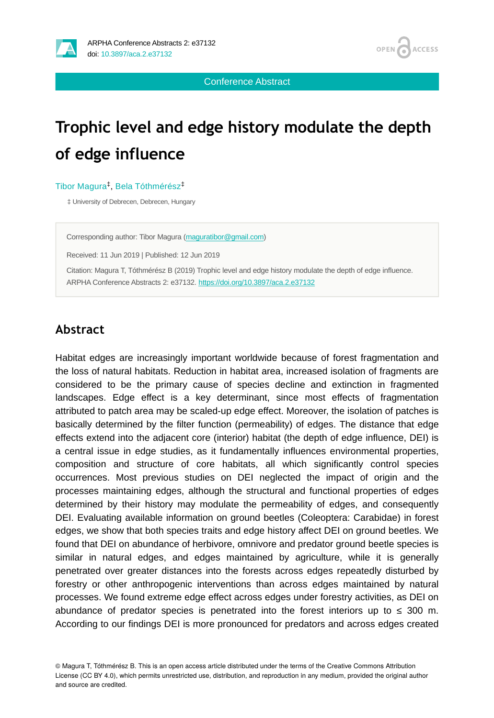

Conference Abstract

# **Trophic level and edge history modulate the depth of edge influence**

#### Tibor Magura<sup>‡</sup>, Bela Tóthmérész<sup>‡</sup>

‡ University of Debrecen, Debrecen, Hungary

Corresponding author: Tibor Magura ([maguratibor@gmail.com\)](mailto:maguratibor@gmail.com)

Received: 11 Jun 2019 | Published: 12 Jun 2019

Citation: Magura T, Tóthmérész B (2019) Trophic level and edge history modulate the depth of edge influence. ARPHA Conference Abstracts 2: e37132. <https://doi.org/10.3897/aca.2.e37132>

## **Abstract**

Habitat edges are increasingly important worldwide because of forest fragmentation and the loss of natural habitats. Reduction in habitat area, increased isolation of fragments are considered to be the primary cause of species decline and extinction in fragmented landscapes. Edge effect is a key determinant, since most effects of fragmentation attributed to patch area may be scaled-up edge effect. Moreover, the isolation of patches is basically determined by the filter function (permeability) of edges. The distance that edge effects extend into the adjacent core (interior) habitat (the depth of edge influence, DEI) is a central issue in edge studies, as it fundamentally influences environmental properties, composition and structure of core habitats, all which significantly control species occurrences. Most previous studies on DEI neglected the impact of origin and the processes maintaining edges, although the structural and functional properties of edges determined by their history may modulate the permeability of edges, and consequently DEI. Evaluating available information on ground beetles (Coleoptera: Carabidae) in forest edges, we show that both species traits and edge history affect DEI on ground beetles. We found that DEI on abundance of herbivore, omnivore and predator ground beetle species is similar in natural edges, and edges maintained by agriculture, while it is generally penetrated over greater distances into the forests across edges repeatedly disturbed by forestry or other anthropogenic interventions than across edges maintained by natural processes. We found extreme edge effect across edges under forestry activities, as DEI on abundance of predator species is penetrated into the forest interiors up to  $\leq 300$  m. According to our findings DEI is more pronounced for predators and across edges created

© Magura T, Tóthmérész B. This is an open access article distributed under the terms of the Creative Commons Attribution License (CC BY 4.0), which permits unrestricted use, distribution, and reproduction in any medium, provided the original author and source are credited.